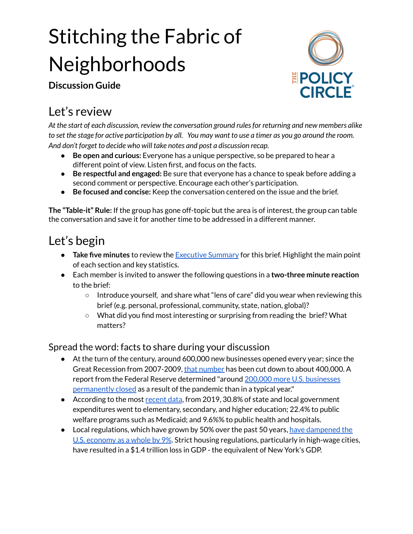# Stitching the Fabric of Neighborhoods

**Discussion Guide**



## Let's review

*At the start of each discussion, review the conversation ground rulesfor returning and new members alike* to set the stage for active participation by all. You may want to use a timer as you go around the room. *And don't forget to decide who will take notes and post a discussion recap.*

- **Be open and curious:** Everyone has a unique perspective, so be prepared to hear a different point of view. Listen first, and focus on the facts.
- **Be respectful and engaged:** Be sure that everyone has a chance to speak before adding a second comment or perspective. Encourage each other's participation.
- **Be focused and concise:** Keep the conversation centered on the issue and the brief.

**The "Table-it" Rule:** If the group has gone off-topic but the area is of interest, the group can table the conversation and save it for another time to be addressed in a different manner.

# Let's begin

- **Take five minutes** to review the [Executive](https://www.thepolicycircle.org/wp-content/uploads/2019/06/Stitching-the-Fabric-of-Neighborhoods-Executive-Summary.pdf) Summary for this brief. Highlight the main point of each section and key statistics.
- Each member is invited to answer the following questions in a **two-three minute reaction** to the brief:
	- Introduce yourself, and share what "lens of care" did you wear when reviewing this brief (e.g. personal, professional, community, state, nation, global)?
	- What did you find most interesting or surprising from reading the brief? What matters?

#### Spread the word: facts to share during your discussion

- At the turn of the century, around 600,000 new businesses opened every year; since the Great Recession from 2007-2009, that [number](http://time.com/4709959/small-business-growth/) has been cut down to about 400,000. A report from the Federal Reserve determined "around 200,000 more U.S. [businesses](https://www.forbes.com/sites/johncaplan/2021/05/03/ecommerce-has-been-a-lifeline-for-small-businesses-during-the-pandemic-where-do-they-go-from-here/?sh=ef5ded235871) [permanently](https://www.forbes.com/sites/johncaplan/2021/05/03/ecommerce-has-been-a-lifeline-for-small-businesses-during-the-pandemic-where-do-they-go-from-here/?sh=ef5ded235871) closed as a result of the pandemic than in a typical year."
- According to the most [recent](https://www.urban.org/policy-centers/cross-center-initiatives/state-and-local-finance-initiative/state-and-local-backgrounders/state-and-local-expenditures) data, from 2019, 30.8% of state and local government expenditures went to elementary, secondary, and higher education; 22.4% to public welfare programs such as Medicaid; and 9.6%% to public health and hospitals.
- Local regulations, which have grown by 50% over the past 50 years, have [dampened](https://www.nytimes.com/2017/09/06/opinion/housing-regulations-us-economy.html) the U.S. [economy](https://www.nytimes.com/2017/09/06/opinion/housing-regulations-us-economy.html) as a whole by 9%. Strict housing regulations, particularly in high-wage cities, have resulted in a \$1.4 trillion loss in GDP - the equivalent of New York's GDP.